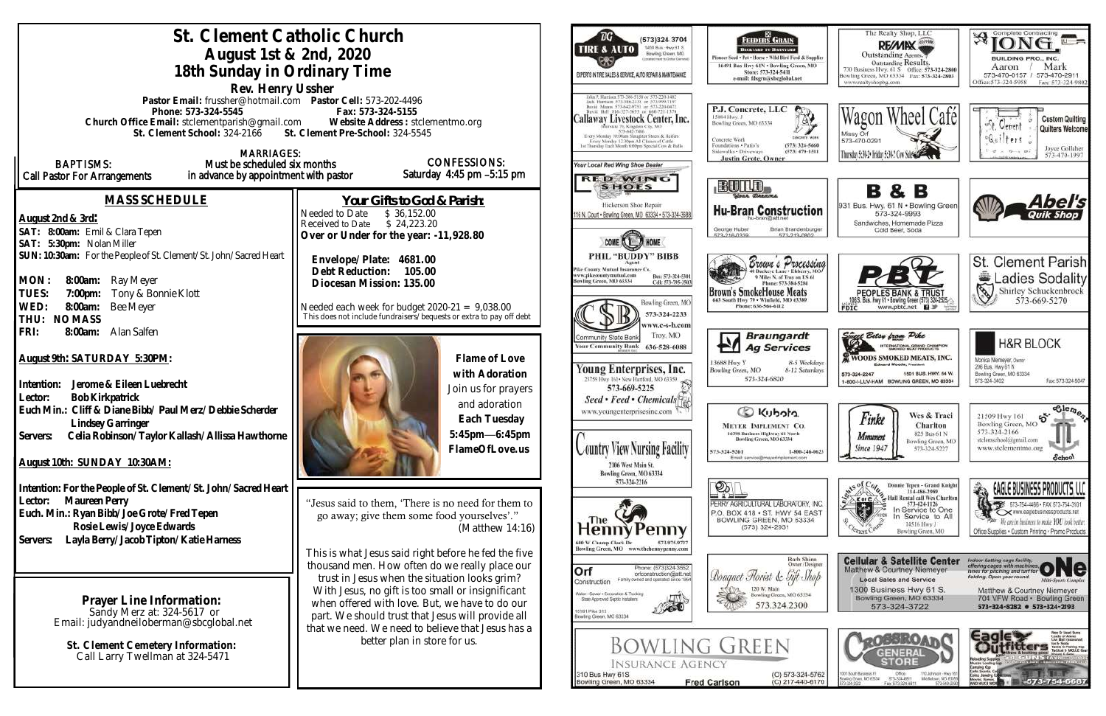